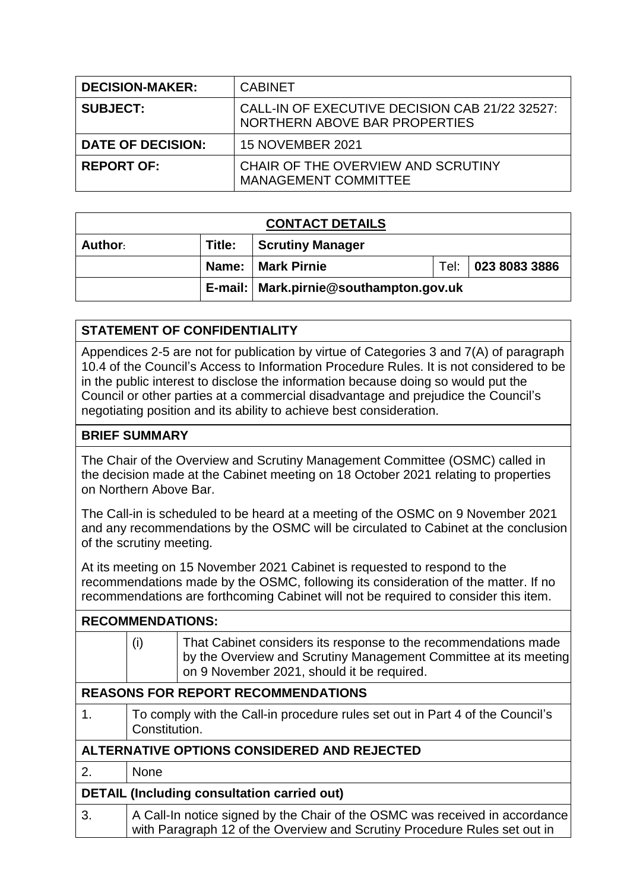| <b>DECISION-MAKER:</b>   | <b>CABINET</b>                                                                  |  |
|--------------------------|---------------------------------------------------------------------------------|--|
| <b>SUBJECT:</b>          | CALL-IN OF EXECUTIVE DECISION CAB 21/22 32527:<br>NORTHERN ABOVE BAR PROPERTIES |  |
| <b>DATE OF DECISION:</b> | <b>15 NOVEMBER 2021</b>                                                         |  |
| <b>REPORT OF:</b>        | CHAIR OF THE OVERVIEW AND SCRUTINY<br><b>MANAGEMENT COMMITTEE</b>               |  |

| <b>CONTACT DETAILS</b> |        |                                          |  |                    |  |
|------------------------|--------|------------------------------------------|--|--------------------|--|
| Author:                | Title: | <b>Scrutiny Manager</b>                  |  |                    |  |
|                        |        | Name:   Mark Pirnie                      |  | Tel: 023 8083 3886 |  |
|                        |        | E-mail:   Mark.pirnie@southampton.gov.uk |  |                    |  |

## **STATEMENT OF CONFIDENTIALITY**

Appendices 2-5 are not for publication by virtue of Categories 3 and 7(A) of paragraph 10.4 of the Council's Access to Information Procedure Rules. It is not considered to be in the public interest to disclose the information because doing so would put the Council or other parties at a commercial disadvantage and prejudice the Council's negotiating position and its ability to achieve best consideration.

## **BRIEF SUMMARY**

The Chair of the Overview and Scrutiny Management Committee (OSMC) called in the decision made at the Cabinet meeting on 18 October 2021 relating to properties on Northern Above Bar.

The Call-in is scheduled to be heard at a meeting of the OSMC on 9 November 2021 and any recommendations by the OSMC will be circulated to Cabinet at the conclusion of the scrutiny meeting.

At its meeting on 15 November 2021 Cabinet is requested to respond to the recommendations made by the OSMC, following its consideration of the matter. If no recommendations are forthcoming Cabinet will not be required to consider this item.

| <b>RECOMMENDATIONS:</b>                            |                                                                                                |                                                                                                                                                                                   |  |  |
|----------------------------------------------------|------------------------------------------------------------------------------------------------|-----------------------------------------------------------------------------------------------------------------------------------------------------------------------------------|--|--|
|                                                    | (i)                                                                                            | That Cabinet considers its response to the recommendations made<br>by the Overview and Scrutiny Management Committee at its meeting<br>on 9 November 2021, should it be required. |  |  |
| <b>REASONS FOR REPORT RECOMMENDATIONS</b>          |                                                                                                |                                                                                                                                                                                   |  |  |
| 1.                                                 | To comply with the Call-in procedure rules set out in Part 4 of the Council's<br>Constitution. |                                                                                                                                                                                   |  |  |
| ALTERNATIVE OPTIONS CONSIDERED AND REJECTED        |                                                                                                |                                                                                                                                                                                   |  |  |
| 2.                                                 | <b>None</b>                                                                                    |                                                                                                                                                                                   |  |  |
| <b>DETAIL (Including consultation carried out)</b> |                                                                                                |                                                                                                                                                                                   |  |  |
| 3.                                                 |                                                                                                | A Call-In notice signed by the Chair of the OSMC was received in accordance<br>with Paragraph 12 of the Overview and Scrutiny Procedure Rules set out in                          |  |  |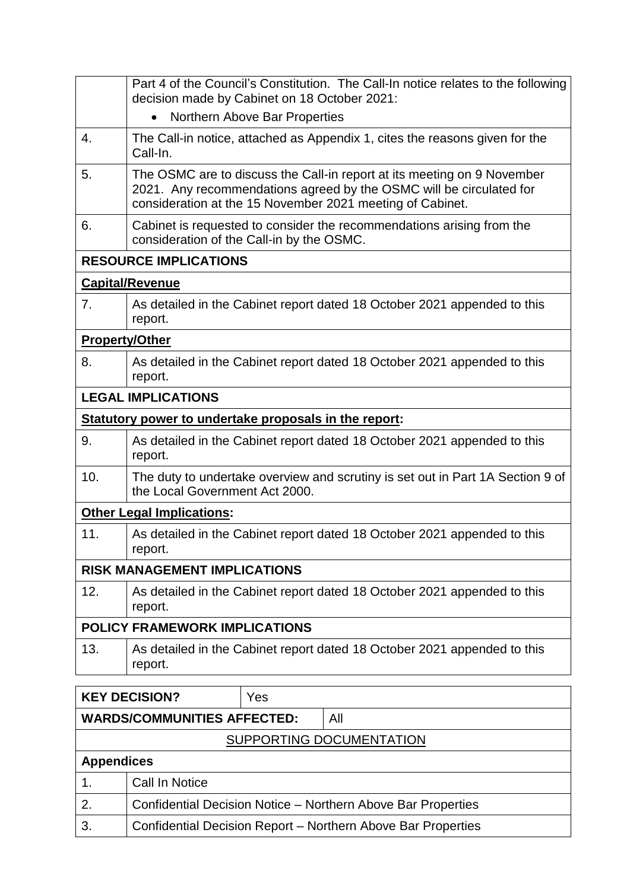|                               | Part 4 of the Council's Constitution. The Call-In notice relates to the following<br>decision made by Cabinet on 18 October 2021:<br>Northern Above Bar Properties<br>$\bullet$                             |                                                                          |  |  |
|-------------------------------|-------------------------------------------------------------------------------------------------------------------------------------------------------------------------------------------------------------|--------------------------------------------------------------------------|--|--|
| 4.                            | The Call-in notice, attached as Appendix 1, cites the reasons given for the<br>Call-In.                                                                                                                     |                                                                          |  |  |
| 5.                            | The OSMC are to discuss the Call-in report at its meeting on 9 November<br>2021. Any recommendations agreed by the OSMC will be circulated for<br>consideration at the 15 November 2021 meeting of Cabinet. |                                                                          |  |  |
| 6.                            | Cabinet is requested to consider the recommendations arising from the<br>consideration of the Call-in by the OSMC.                                                                                          |                                                                          |  |  |
|                               | <b>RESOURCE IMPLICATIONS</b>                                                                                                                                                                                |                                                                          |  |  |
|                               | <b>Capital/Revenue</b>                                                                                                                                                                                      |                                                                          |  |  |
| 7.                            | report.                                                                                                                                                                                                     | As detailed in the Cabinet report dated 18 October 2021 appended to this |  |  |
| <b>Property/Other</b>         |                                                                                                                                                                                                             |                                                                          |  |  |
| 8.                            | report.                                                                                                                                                                                                     | As detailed in the Cabinet report dated 18 October 2021 appended to this |  |  |
|                               | <b>LEGAL IMPLICATIONS</b>                                                                                                                                                                                   |                                                                          |  |  |
|                               |                                                                                                                                                                                                             | Statutory power to undertake proposals in the report:                    |  |  |
| 9.                            | As detailed in the Cabinet report dated 18 October 2021 appended to this<br>report.                                                                                                                         |                                                                          |  |  |
| 10.                           | The duty to undertake overview and scrutiny is set out in Part 1A Section 9 of<br>the Local Government Act 2000.                                                                                            |                                                                          |  |  |
|                               | <b>Other Legal Implications:</b>                                                                                                                                                                            |                                                                          |  |  |
| 11.                           | As detailed in the Cabinet report dated 18 October 2021 appended to this<br>report.                                                                                                                         |                                                                          |  |  |
|                               | <b>RISK MANAGEMENT IMPLICATIONS</b>                                                                                                                                                                         |                                                                          |  |  |
| 12.                           | As detailed in the Cabinet report dated 18 October 2021 appended to this<br>report.                                                                                                                         |                                                                          |  |  |
| POLICY FRAMEWORK IMPLICATIONS |                                                                                                                                                                                                             |                                                                          |  |  |
| 13.                           | As detailed in the Cabinet report dated 18 October 2021 appended to this<br>report.                                                                                                                         |                                                                          |  |  |
|                               | <b>KEY DECISION?</b><br>Yes                                                                                                                                                                                 |                                                                          |  |  |

|                                    | . <i>.</i><br>. . |  |                                                              |
|------------------------------------|-------------------|--|--------------------------------------------------------------|
| <b>WARDS/COMMUNITIES AFFECTED:</b> |                   |  | All                                                          |
| SUPPORTING DOCUMENTATION           |                   |  |                                                              |
| <b>Appendices</b>                  |                   |  |                                                              |
|                                    | Call In Notice    |  |                                                              |
| 2.                                 |                   |  | Confidential Decision Notice - Northern Above Bar Properties |
| 3.                                 |                   |  | Confidential Decision Report - Northern Above Bar Properties |
|                                    |                   |  |                                                              |